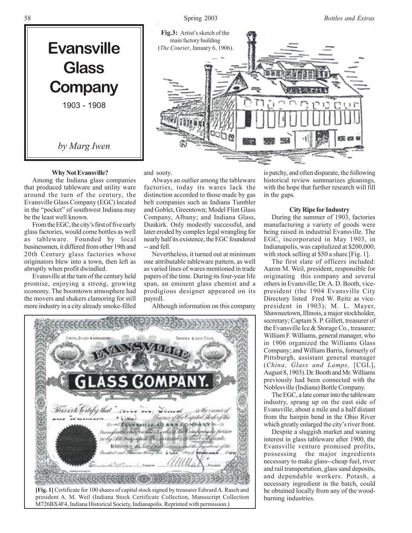



### **Why Not Evansville?**

Among the Indiana glass companies that produced tableware and utility ware around the turn of the century, the Evansville Glass Company (EGC) located in the "pocket" of southwest Indiana may be the least well known.

From the EGC, the city's first of five early glass factories, would come bottles as well as tableware. Founded by local businessmen, it differed from other 19th and 20th Century glass factories whose originators blew into a town, then left as abruptly when profit dwindled.

Evansville at the turn of the century held promise, enjoying a strong, growing economy. The boomtown atmosphere had the movers and shakers clamoring for still more industry in a city already smoke-filled

and sooty.

Always an outlier among the tableware factories, today its wares lack the distinction accorded to those made by gas belt companies such as Indiana Tumbler and Goblet, Greentown; Model Flint Glass Company, Albany; and Indiana Glass, Dunkirk. Only modestly successful, and later eroded by complex legal wrangling for nearly half its existence, the EGC foundered -- and fell.

Nevertheless, it turned out at minimum one attributable tableware pattern, as well as varied lines of wares mentioned in trade papers of the time. During its four-year life span, an eminent glass chemist and a prodigious designer appeared on its payroll.

Although information on this company



is patchy, and often disparate, the following historical review summarizes gleanings, with the hope that further research will fill in the gaps.

### **City Ripe for Industry**

During the summer of 1903, factories manufacturing a variety of goods were being raised in industrial Evansville. The EGC, incorporated in May 1903, in Indianapolis, was capitalized at \$200,000, with stock selling at \$50 a share [Fig. 1].

The first slate of officers included: Aaron M. Weil, president, responsible for originating this company and several others in Evansville; Dr. A. D. Booth, vicepresident (the 1904 Evansville City Directory listed Fred W. Reitz as vicepresident in 1903); M. L. Mayer, Shawneetown, Illinois, a major stockholder, secretary; Captain S. P. Gillett, treasurer of the Evansville Ice & Storage Co., treasurer; William F. Williams, general manager, who in 1906 organized the Williams Glass Company; and William Barris, formerly of Pittsburgh, assistant general manager (*China, Glass and Lamps,* [CGL], August 8, 1903). Dr. Booth and Mr. Williams previously had been connected with the Noblesville (Indiana) Bottle Company.

The EGC, a late comer into the tableware industry, sprang up on the east side of Evansville, about a mile and a half distant from the hairpin bend in the Ohio River which greatly enlarged the city's river front.

Despite a sluggish market and waning interest in glass tableware after 1900, the Evansville venture promised profits, possessing the major ingredients necessary to make glass--cheap fuel, river and rail transportation, glass sand deposits, and dependable workers. Potash, a necessary ingredient in the batch, could be obtained locally from any of the woodburning industries.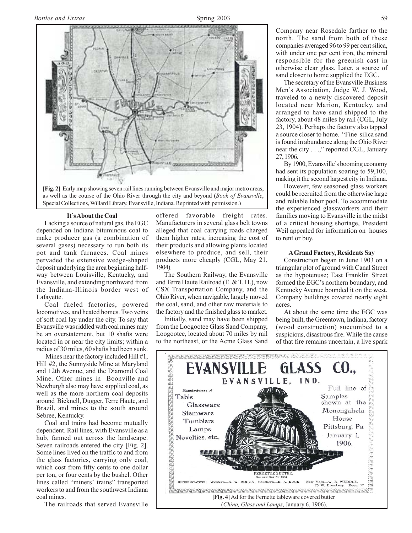

as well as the course of the Ohio River through the city and beyond (*Book of Evansville*, Special Collections, Willard Library, Evansville, Indiana. Reprinted with permission.)

#### **It's About the Coal**

Lacking a source of natural gas, the EGC depended on Indiana bituminous coal to make producer gas (a combination of several gases) necessary to run both its pot and tank furnaces. Coal mines pervaded the extensive wedge-shaped deposit underlying the area beginning halfway between Louisville, Kentucky, and Evansville, and extending northward from the Indiana-Illinois border west of Lafayette.

Coal fueled factories, powered locomotives, and heated homes. Two veins of soft coal lay under the city. To say that Evansville was riddled with coal mines may be an overstatement, but 10 shafts were located in or near the city limits; within a radius of 30 miles, 60 shafts had been sunk.

 Mines near the factory included Hill #1, Hill #2, the Sunnyside Mine at Maryland and 12th Avenue, and the Diamond Coal Mine. Other mines in Boonville and Newburgh also may have supplied coal, as well as the more northern coal deposits around Bicknell, Dugger, Terre Haute, and Brazil, and mines to the south around Sebree, Kentucky.

Coal and trains had become mutually dependent. Rail lines, with Evansville as a hub, fanned out across the landscape. Seven railroads entered the city [Fig. 2]. Some lines lived on the traffic to and from the glass factories, carrying only coal, which cost from fifty cents to one dollar per ton, or four cents by the bushel. Other lines called "miners' trains" transported workers to and from the southwest Indiana coal mines.

The railroads that served Evansville

offered favorable freight rates. Manufacturers in several glass belt towns alleged that coal carrying roads charged them higher rates, increasing the cost of their products and allowing plants located elsewhere to produce, and sell, their products more cheaply (CGL, May 21, 1904).

The Southern Railway, the Evansville and Terre Haute Railroad (E. & T. H.), now CSX Transportation Company, and the Ohio River, when navigable, largely moved the coal, sand, and other raw materials to the factory and the finished glass to market.

Initially, sand may have been shipped from the Loogootee Glass Sand Company, Loogootee, located about 70 miles by rail to the northeast, or the Acme Glass Sand

Company near Rosedale farther to the north. The sand from both of these companies averaged 96 to 99 per cent silica, with under one per cent iron, the mineral responsible for the greenish cast in otherwise clear glass. Later, a source of sand closer to home supplied the EGC.

The secretary of the Evansville Business Men's Association, Judge W. J. Wood, traveled to a newly discovered deposit located near Marion, Kentucky, and arranged to have sand shipped to the factory, about 48 miles by rail (CGL, July 23, 1904). Perhaps the factory also tapped a source closer to home. "Fine silica sand is found in abundance along the Ohio River near the city . . .," reported CGL, January 27, 1906.

By 1900, Evansville's booming economy had sent its population soaring to 59,100, making it the second largest city in Indiana.

However, few seasoned glass workers could be recruited from the otherwise large and reliable labor pool. To accommodate the experienced glassworkers and their families moving to Evansville in the midst of a critical housing shortage, President Weil appealed for information on houses to rent or buy.

### **A Grand Factory, Residents Say**

Construction began in June 1903 on a triangular plot of ground with Canal Street as the hypotenuse; East Franklin Street formed the EGC's northern boundary, and Kentucky Avenue bounded it on the west. Company buildings covered nearly eight acres.

At about the same time the EGC was being built, the Greentown, Indiana, factory (wood construction) succumbed to a suspicious, disastrous fire. While the cause of that fire remains uncertain, a live spark

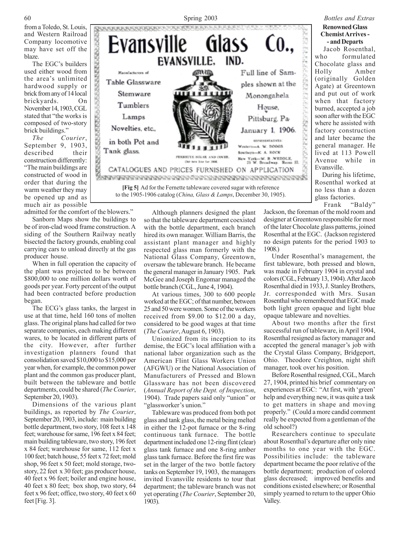from a Toledo, St. Louis, and Western Railroad Company locomotive may have set off the blaze.

The EGC's builders used either wood from the area's unlimited hardwood supply or brick from any of 14 local brickyards. On November 14, 1903, CGL stated that "the works is composed of two-story brick buildings."

Manufacturers of

Stemware

Tumblers

Lamps

Novelties, etc.,

in both Pot and

Tank glass.

*The Courier*, September 9, 1903, described their construction differently:

"The main buildings are constructed of wood in order that during the warm weather they may be opened up and as much air as possible

admitted for the comfort of the blowers."

CONTRACTORSES

Sanborn Maps show the buildings to be of iron-clad wood frame construction. A siding of the Southern Railway neatly bisected the factory grounds, enabling coal carrying cars to unload directly at the gas producer house.

When in full operation the capacity of the plant was projected to be between \$800,000 to one million dollars worth of goods per year. Forty percent of the output had been contracted before production began.

The ECG's glass tanks, the largest in use at that time, held 160 tons of molten glass. The original plans had called for two separate companies, each making different wares, to be located in different parts of the city. However, after further investigation planners found that consolidation saved \$10,000 to \$15,000 per year when, for example, the common power plant and the common gas producer plant, built between the tableware and bottle departments, could be shared (*The Courier*, September 20, 1903).

Dimensions of the various plant buildings, as reported by *The Courier*, September 20, 1903, include: main building bottle department, two story, 108 feet x 148 feet; warehouse for same, 196 feet x 84 feet; main building tableware, two story, 196 feet x 84 feet; warehouse for same, 112 feet x 100 feet; batch house, 55 feet x 72 feet; mold shop, 96 feet x 50 feet; mold storage, twostory, 22 feet x 30 feet; gas producer house, 40 feet x 96 feet; boiler and engine house, 40 feet x 80 feet; box shop, two story, 64 feet x 96 feet; office, two story, 40 feet x 60 feet [Fig. 3].

Although planners designed the plant so that the tableware department coexisted with the bottle department, each branch hired its own manager. William Barris, the assistant plant manager and highly respected glass man formerly with the National Glass Company, Greentown, oversaw the tableware branch. He became the general manager in January 1905. Park McGee and Joseph Engomar managed the bottle branch (CGL, June 4, 1904).

**[Fig 5]** Ad for the Fernette tableware covered sugar with reference to the 1905-1906 catalog (*China, Glass & Lamps*, December 30, 1905).

FERNISTE MIGAR AND COVER

Our new line for 1906. CATALOGUES AND PRICES FURNISHED ON APPLICATION 

> At various times, 300 to 600 people worked at the EGC; of that number, between 25 and 50 were women. Some of the workers received from \$9.00 to \$12.00 a day, considered to be good wages at that time (*The Courier*, August 6, 1903).

> Unionized from its inception to its demise, the EGC's local affiliation with a national labor organization such as the American Flint Glass Workers Union (AFGWU) or the National Association of Manufacturers of Pressed and Blown Glassware has not been discovered (*Annual Report of the Dept. of Inspection*, 1904). Trade papers said only "union" or "glassworker's union."

> Tableware was produced from both pot glass and tank glass, the metal being melted in either the 12-pot furnace or the 8-ring continuous tank furnace. The bottle department included one 12-ring flint (clear) glass tank furnace and one 8-ring amber glass tank furnace. Before the first fire was set in the larger of the two bottle factory tanks on September 19, 1903, the managers invited Evansville residents to tour that department; the tableware branch was not yet operating (*The Courier*, September 20, 1903).

Jackson, the foreman of the mold room and designer at Greentown responsible for most of the later Chocolate glass patterns, joined Rosenthal at the EGC. (Jackson registered no design patents for the period 1903 to 1908.)

Under Rosenthal's management, the first tableware, both pressed and blown, was made in February 1904 in crystal and colors (CGL, February 13, 1904). After Jacob Rosenthal died in 1933, J. Stanley Brothers, Jr. corresponded with Mrs. Susan Rosenthal who remembered that EGC made both light green opaque and light blue opaque tableware and novelties.

About two months after the first successful run of tableware, in April 1904, Rosenthal resigned as factory manager and accepted the general manager's job with the Crystal Glass Company, Bridgeport, Ohio. Theodore Creighton, night shift manager, took over his position.

Before Rosenthal resigned, CGL, March 27, 1904, printed his brief commentary on experiences at EGC: "At first, with 'green' help and everything new, it was quite a task to get matters in shape and moving properly." (Could a more candid comment really be expected from a gentleman of the old school?)

Researchers continue to speculate about Rosenthal's departure after only nine months to one year with the EGC. Possibilities include: the tableware department became the poor relative of the bottle department; production of colored glass decreased; improved benefits and conditions existed elsewhere; or Rosenthal simply yearned to return to the upper Ohio Valley.

# 60 Spring 2003 *Bottles and Extras* **ISRRIGGGSPIERIGGS Evansville** Glass **EVANSVILLE.** IND. Full line of Sam-Table Glassware ples shown at the Monongahela House, Pittsburg, Pa-

January 1, 1906. **SEPARATATIVES** 

New York-W. B .WEDDLE,<br>25 W. Broadway. Room 57.

Western-A. W. BOOOS.

Southern-K. A. ROCK

**Renowned Glass Chemist Arrives - - and Departs**

 Jacob Rosenthal, who formulated Chocolate glass and Holly Amber (originally Golden Agate) at Greentown and put out of work when that factory burned, accepted a job soon after with the EGC where he assisted with factory construction and later became the general manager. He lived at 113 Powell Avenue while in Evansville.

 During his lifetime, Rosenthal worked at no less than a dozen glass factories.

Frank "Baldy"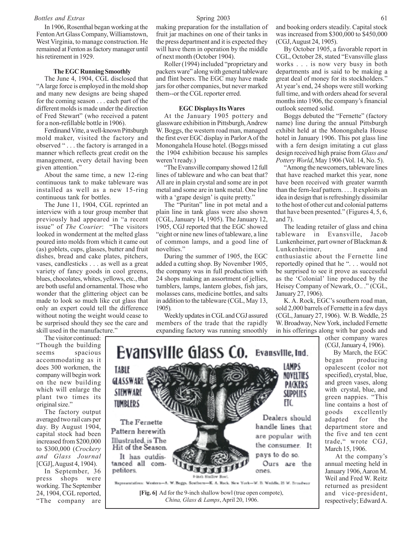### *Bottles and Extras* 61

In 1906, Rosenthal began working at the Fenton Art Glass Company, Williamstown, West Virginia, to manage construction. He remained at Fenton as factory manager until his retirement in 1929.

#### **The EGC Running Smoothly**

The June 4, 1904, CGL disclosed that "A large force is employed in the mold shop and many new designs are being shaped for the coming season . . . each part of the different molds is made under the direction of Fred Stewart" (who received a patent for a non-refillable bottle in 1906).

Ferdinand Vitte, a well-known Pittsburgh mold maker, visited the factory and observed " . . . the factory is arranged in a manner which reflects great credit on the management, every detail having been given attention."

About the same time, a new 12-ring continuous tank to make tableware was installed as well as a new 15-ring continuous tank for bottles.

The June 11, 1904, CGL reprinted an interview with a tour group member that previously had appeared in "a recent issue" of *The Courier*: "The visitors looked in wonderment at the melted glass poured into molds from which it came out (as) goblets, cups, glasses, butter and fruit dishes, bread and cake plates, pitchers, vases, candlesticks . . . as well as a great variety of fancy goods in cool greens, blues, chocolates, whites, yellows, etc., that are both useful and ornamental. Those who wonder that the glittering object can be made to look so much like cut glass that only an expert could tell the difference without noting the weight would cease to be surprised should they see the care and skill used in the manufacture."

The visitor continued: "Though the building seems spacious accommodating as it does 300 workmen, the company will begin work on the new building which will enlarge the plant two times its original size."

The factory output averaged two rail cars per day. By August 1904, capital stock had been increased from \$200,000 to \$300,000 (*Crockery and Glass Journal* [CGJ], August 4, 1904).

In September, 36 press shops were working. The September 24, 1904, CGL reported, "The company are

making preparation for the installation of fruit jar machines on one of their tanks in the press department and it is expected they will have them in operation by the middle of next month (October 1904).

Roller (1994) included "proprietary and packers ware" along with general tableware and flint beers. The EGC may have made jars for other companies, but never marked them--or the CGL reporter erred.

#### **EGC Displays Its Wares**

At the January 1905 pottery and glassware exhibition in Pittsburgh, Andrew W. Boggs, the western road man, managed the first ever EGC display in Parlor A of the Monongahela House hotel. (Boggs missed the 1904 exhibition because his samples weren't ready.)

"The Evansville company showed 12 full lines of tableware and who can beat that? All are in plain crystal and some are in pot metal and some are in tank metal. One line with a 'grape design' is quite pretty."

The "Puritan" line in pot metal and a plain line in tank glass were also shown (CGL, January 14, 1905). The January 12, 1905, CGJ reported that the EGC showed "eight or nine new lines of tableware, a line of common lamps, and a good line of novelties."

During the summer of 1905, the EGC added a cutting shop. By November 1905, the company was in full production with 24 shops making an assortment of jellies, tumblers, lamps, lantern globes, fish jars, molasses cans, medicine bottles, and salts in addition to the tableware (CGL, May 13, 1905).

Weekly updates in CGL and CGJ assured members of the trade that the rapidly expanding factory was running smoothly

and booking orders steadily. Capital stock was increased from \$300,000 to \$450,000 (CGJ, August 24, 1905).

By October 1905, a favorable report in CGL, October 28, stated "Evansville glass works . . . is now very busy in both departments and is said to be making a great deal of money for its stockholders." At year's end, 24 shops were still working full time, and with orders ahead for several months into 1906, the company's financial outlook seemed solid.

Boggs debuted the "Fernette" (factory name) line during the annual Pittsburgh exhibit held at the Monongahela House hotel in January 1906. This pot glass line with a fern design imitating a cut glass design received high praise from *Glass and Pottery World*, May 1906 (Vol. 14, No. 5).

"Among the newcomers, tableware lines that have reached market this year, none have been received with greater warmth than the fern-leaf pattern. . . . It exploits an idea in design that is refreshingly dissimilar to the host of other cut and colonial patterns that have been presented." (Figures 4, 5, 6, and 7).

The leading retailer of glass and china tableware in Evansville, Jacob Lunkenheimer, part owner of Blackman & Lunkenheimer, and enthusiastic about the Fernette line reportedly opined that he ". . . would not be surprised to see it prove as successful as the 'Colonial' line produced by the Heisey Company of Newark, O.. ." (CGL, January 27, 1906).

K. A. Rock, EGC's southern road man, sold 2,000 barrels of Fernette in a few days (CGL, January 27, 1906). W. B. Weddle, 25 W. Broadway, New York, included Fernette in his offerings along with bar goods and

other company wares (CGJ, January 4, 1906).

 By March, the EGC began producing opalescent (color not specified), crystal, blue, and green vases, along with crystal, blue, and green nappies. "This line contains a host of goods excellently adapted for the department store and the five and ten cent trade," wrote CGJ, March 15, 1906.

 At the company's annual meeting held in January 1906, Aaron M. Weil and Fred W. Reitz returned as president and vice-president, respectively; Edward A.



**[Fig. 6]** Ad for the 9-inch shallow bowl (true open compote), *China, Glass & Lamps*, April 20, 1906.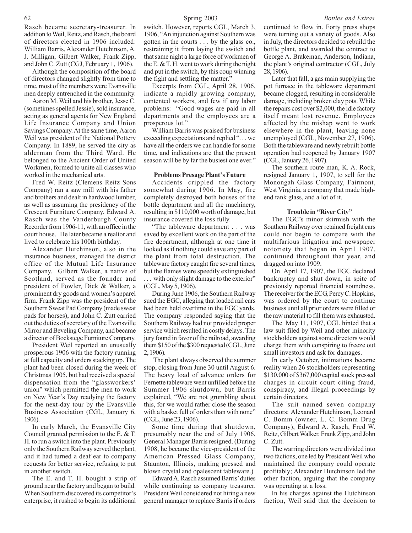Although the composition of the board of directors changed slightly from time to time, most of the members were Evansville men deeply entrenched in the community.

Aaron M. Weil and his brother, Jesse C. (sometimes spelled Jessie), sold insurance, acting as general agents for New England Life Insurance Company and Union Savings Company. At the same time, Aaron Weil was president of the National Pottery Company. In 1889, he served the city as alderman from the Third Ward. He belonged to the Ancient Order of United Workmen, formed to unite all classes who worked in the mechanical arts.

Fred W. Reitz (Clemens Reitz Sons Company) ran a saw mill with his father and brothers and dealt in hardwood lumber, as well as assuming the presidency of the Crescent Furniture Company. Edward A. Rasch was the Vanderburgh County Recorder from 1906-11, with an office in the court house. He later became a realtor and lived to celebrate his 100th birthday.

Alexander Hutchinson, also in the insurance business, managed the district office of the Mutual Life Insurance Company. Gilbert Walker, a native of Scotland, served as the founder and president of Fowler, Dick & Walker, a prominent dry goods and women's apparel firm. Frank Zipp was the president of the Southern Sweat Pad Company (made sweat pads for horses), and John C. Zutt carried out the duties of secretary of the Evansville Mirror and Beveling Company, and became a director of Bockstege Furniture Company.

President Weil reported an unusually prosperous 1906 with the factory running at full capacity and orders stacking up. The plant had been closed during the week of Christmas 1905, but had received a special dispensation from the "glassworkers' union" which permitted the men to work on New Year's Day readying the factory for the next-day tour by the Evansville Business Association (CGL, January 6, 1906).

In early March, the Evansville City Council granted permission to the E. & T. H. to run a switch into the plant. Previously only the Southern Railway served the plant, and it had turned a deaf ear to company requests for better service, refusing to put in another switch.

The E. and T. H. bought a strip of ground near the factory and began to build. When Southern discovered its competitor's enterprise, it rushed to begin its additional

switch. However, reports CGL, March 3, 1906, "An injunction against Southern was gotten in the courts . . . by the glass co., restraining it from laying the switch and that same night a large force of workmen of the E. & T. H. went to work during the night and put in the switch, by this coup winning the fight and settling the matter."

Excerpts from CGL, April 28, 1906, indicate a rapidly growing company, contented workers, and few if any labor problems: "Good wages are paid in all departments and the employees are a prosperous lot."

William Barris was praised for business exceeding expectations and replied ". . . we have all the orders we can handle for some time, and indications are that the present season will be by far the busiest one ever."

#### **Problems Presage Plant's Future**

Accidents crippled the factory somewhat during 1906. In May, fire completely destroyed both houses of the bottle department and all the machinery, resulting in \$110,000 worth of damage, but insurance covered the loss fully.

"The tableware department . . . was saved by excellent work on the part of the fire department, although at one time it looked as if nothing could save any part of the plant from total destruction. The tableware factory caught fire several times, but the flames were speedily extinguished ... with only slight damage to the exterior" (CGL, May 5, 1906).

During June 1906, the Southern Railway sued the EGC, alleging that loaded rail cars had been held overtime in the EGC yards. The company responded saying that the Southern Railway had not provided proper service which resulted in costly delays. The jury found in favor of the railroad, awarding them \$150 of the \$300 requested (CGL, June 2, 1906).

 The plant always observed the summer stop, closing from June 30 until August 6. The heavy load of advance orders for Fernette tableware went unfilled before the Summer 1906 shutdown, but Barris explained, "We are not grumbling about this, for we would rather close the season with a basket full of orders than with none" (CGL, June 23, 1906).

Some time during that shutdown, presumably near the end of July 1906, General Manager Barris resigned. (During 1908, he became the vice-president of the American Pressed Glass Company, Staunton, Illinois, making pressed and blown crystal and opalescent tableware.)

Edward A. Rasch assumed Barris' duties while continuing as company treasurer. President Weil considered not hiring a new general manager to replace Barris if orders continued to flow in. Forty press shops were turning out a variety of goods. Also in July, the directors decided to rebuild the bottle plant, and awarded the contract to George A. Brakeman, Anderson, Indiana, the plant's original contractor (CGL, July 28, 1906).

Later that fall, a gas main supplying the pot furnace in the tableware department became clogged, resulting in considerable damage, including broken clay pots. While the repairs cost over \$2,000, the idle factory itself meant lost revenue. Employees affected by the mishap went to work elsewhere in the plant, leaving none unemployed (CGL, November 27, 1906). Both the tableware and newly rebuilt bottle operation had reopened by January 1907 (CGL, January 26, 1907).

The southern route man, K. A. Rock, resigned January 1, 1907, to sell for the Monongah Glass Company, Fairmont, West Virginia, a company that made highend tank glass, and a lot of it.

### **Trouble in "River City"**

The EGC's minor skirmish with the Southern Railway over retained freight cars could not begin to compare with the multifarious litigation and newspaper notoriety that began in April 1907, continued throughout that year, and dragged on into 1909.

On April 17, 1907, the EGC declared bankruptcy and shut down, in spite of previously reported financial soundness. The receiver for the ECG, Percy C. Hopkins, was ordered by the court to continue business until all prior orders were filled or the raw material to fill them was exhausted.

The May 11, 1907, CGL hinted that a law suit filed by Weil and other minority stockholders against some directors would charge them with conspiring to freeze out small investors and ask for damages.

In early October, intimations became reality when 26 stockholders representing \$130,000 of \$367,000 capital stock pressed charges in circuit court citing fraud, conspiracy, and illegal proceedings by certain directors.

The suit named seven company directors: Alexander Hutchinson, Leonard C. Bomm (owner, L. C. Bomm Drug Company), Edward A. Rasch, Fred W. Reitz, Gilbert Walker, Frank Zipp, and John C. Zutt.

The warring directors were divided into two factions, one led by President Weil who maintained the company could operate profitably; Alexander Hutchinson led the other faction, arguing that the company was operating at a loss.

In his charges against the Hutchinson faction, Weil said that the decision to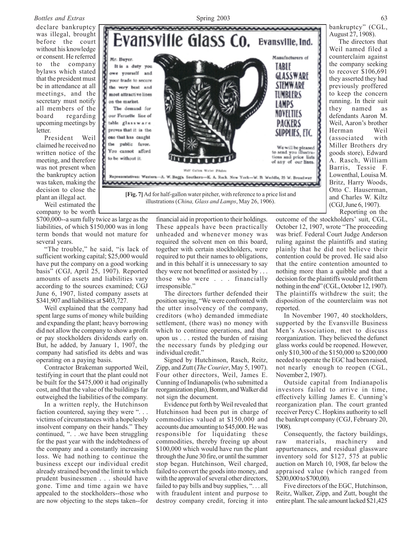### *Bottles and Extras* 63

declare bankruptcy was illegal, brought before the court without his knowledge or consent. He referred to the company bylaws which stated that the president must be in attendance at all meetings, and the secretary must notify all members of the board regarding upcoming meetings by **letter** 

President Weil claimed he received no written notice of the meeting, and therefore was not present when the bankruptcy action was taken, making the decision to close the plant an illegal act.

Weil estimated the company to be worth

\$700,000--a sum fully twice as large as the liabilities, of which \$150,000 was in long term bonds that would not mature for several years.

"The trouble," he said, "is lack of sufficient working capital; \$25,000 would have put the company on a good working basis" (CGJ, April 25, 1907). Reported amounts of assets and liabilities vary according to the sources examined; CGJ June 6, 1907, listed company assets at \$341,907 and liabilities at \$403,727.

Weil explained that the company had spent large sums of money while building and expanding the plant; heavy borrowing did not allow the company to show a profit or pay stockholders dividends early on. But, he added, by January 1, 1907, the company had satisfied its debts and was operating on a paying basis.

Contractor Brakeman supported Weil, testifying in court that the plant could not be built for the \$475,000 it had originally cost, and that the value of the buildings far outweighed the liabilities of the company.

In a written reply, the Hutchinson faction countered, saying they were "... victims of circumstances with a hopelessly insolvent company on their hands." They continued, ". . .we have been struggling for the past year with the indebtedness of the company and a constantly increasing loss. We had nothing to continue the business except our individual credit already strained beyond the limit to which prudent businessmen . . . should have gone. Time and time again we have appealed to the stockholders--those who are now objecting to the steps taken--for



illustrations (*China, Glass and Lamps*, May 26, 1906).

financial aid in proportion to their holdings. These appeals have been practically unheaded and whenever money was required the solvent men on this board, together with certain stockholders, were required to put their names to obligations, and in this behalf it is unnecessary to say they were not benefitted or assisted by . . . those who were . . . financially irresponsible."

The directors further defended their position saying, "We were confronted with the utter insolvency of the company, creditors (who) demanded immediate settlement, (there was) no money with which to continue operations, and that upon us . . . rested the burden of raising the necessary funds by pledging our individual credit."

Signed by Hutchinson, Rasch, Reitz, Zipp, and Zutt (*The Courier*, May 5, 1907). Four other directors, Weil, James E. Cunning of Indianapolis (who submitted a reorganization plan), Bomm, and Walker did not sign the document.

Evidence put forth by Weil revealed that Hutchinson had been put in charge of commodities valued at \$150,000 and accounts due amounting to \$45,000. He was responsible for liquidating these commodities, thereby freeing up about \$100,000 which would have run the plant through the June 30 fire, or until the summer stop began. Hutchinson, Weil charged, failed to convert the goods into money, and with the approval of several other directors, failed to pay bills and buy supplies, ". . . all with fraudulent intent and purpose to destroy company credit, forcing it into

bankruptcy" (CGL, August 27, 1908).

 The directors that Weil named filed a counterclaim against the company seeking to recover \$106,691 they asserted they had previously proffered to keep the concern running. In their suit they named as defendants Aaron M. Weil, Aaron's brother Herman Weil (associated with Miller Brothers dry goods store), Edward A. Rasch, William Barris, Tessie F. Lowenthal, Louisa M. Britz, Harry Woods, Otto C. Hauserman, and Charles W. Kiltz (CGJ, June 6, 1907). Reporting on the

outcome of the stockholders' suit, CGL, October 12, 1907, wrote "The proceeding was brief. Federal Court Judge Anderson ruling against the plaintiffs and stating plainly that he did not believe their contention could be proved. He said also that the entire contention amounted to nothing more than a quibble and that a decision for the plaintiffs would profit them nothing in the end" (CGL, October 12, 1907). The plaintiffs withdrew the suit; the disposition of the counterclaim was not reported.

In November 1907, 40 stockholders, supported by the Evansville Business Men's Association, met to discuss reorganization. They believed the defunct glass works could be reopened. However, only \$10,300 of the \$150,000 to \$200,000 needed to operate the EGC had been raised, not nearly enough to reopen (CGL, November 2, 1907).

Outside capital from Indianapolis investors failed to arrive in time, effectively killing James E. Cunning's reorganization plan. The court granted receiver Percy C. Hopkins authority to sell the bankrupt company (CGJ, February 20, 1908).

Consequently, the factory buildings, raw materials, machinery and appurtenances, and residual glassware inventory sold for \$127, 575 at public auction on March 10, 1908, far below the appraised value (which ranged from \$200,000 to \$700,00).

Five directors of the EGC, Hutchinson, Reitz, Walker, Zipp, and Zutt, bought the entire plant. The sale amount lacked \$21,425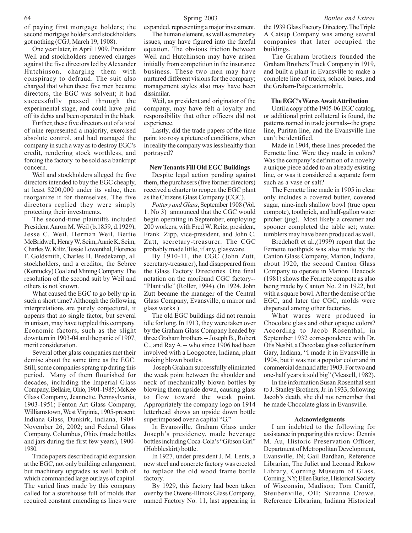of paying first mortgage holders; the second mortgage holders and stockholders got nothing (CGJ, March 19, 1908).

One year later, in April 1909, President Weil and stockholders renewed charges against the five directors led by Alexander Hutchinson, charging them with conspiracy to defraud. The suit also charged that when these five men became directors, the EGC was solvent; it had successfully passed through the experimental stage, and could have paid off its debts and been operated in the black.

Further, these five directors out of a total of nine represented a majority, exercised absolute control, and had managed the company in such a way as to destroy EGC's credit, rendering stock worthless, and forcing the factory to be sold as a bankrupt concern.

Weil and stockholders alleged the five directors intended to buy the EGC cheaply, at least \$200,000 under its value, then reorganize it for themselves. The five directors replied they were simply protecting their investments.

The second-time plaintiffs included President Aaron M. Weil (b.1859, d.1929), Jesse C. Weil, Herman Weil, Bettie McBridwell, Henry W. Seim, Annie K. Seim, Charles W. Kiltz, Tessie Lowenthal, Florence F. Goldsmith, Charles H. Bredekamp, all stockholders, and a creditor, the Sebree (Kentucky) Coal and Mining Company. The resolution of the second suit by Weil and others is not known.

What caused the EGC to go belly up in such a short time? Although the following interpretations are purely conjectural, it appears that no single factor, but several in unison, may have toppled this company. Economic factors, such as the slight downturn in 1903-04 and the panic of 1907, merit consideration.

Several other glass companies met their demise about the same time as the EGC. Still, some companies sprang up during this period. Many of them flourished for decades, including the Imperial Glass Company, Bellaire, Ohio, 1901-1985; McKee Glass Company, Jeannette, Pennsylvania, 1903-1951; Fenton Art Glass Company, Williamstown, West Virginia, 1905-present; Indiana Glass, Dunkirk, Indiana, 1904- November 26, 2002; and Federal Glass Company, Columbus, Ohio, (made bottles and jars during the first few years), 1900- 1980.

Trade papers described rapid expansion at the EGC, not only building enlargement, but machinery upgrades as well, both of which commanded large outlays of capital. The varied lines made by this company called for a storehouse full of molds that required constant emending as lines were

expanded, representing a major investment.

The human element, as well as monetary issues, may have figured into the fateful equation. The obvious friction between Weil and Hutchinson may have arisen initially from competition in the insurance business. These two men may have nurtured different visions for the company; management styles also may have been dissimilar.

Weil, as president and originator of the company, may have felt a loyalty and responsibility that other officers did not experience.

Lastly, did the trade papers of the time paint too rosy a picture of conditions, when in reality the company was less healthy than portrayed?

#### **New Tenants Fill Old EGC Buildings**

Despite legal action pending against them, the purchasers (five former directors) received a charter to reopen the EGC plant as the Citizens Glass Company (CGC).

*Pottery and Glass*, September 1908 (Vol. 1. No 3) announced that the CGC would begin operating in September, employing 200 workers, with Fred W. Reitz, president, Frank Zipp, vice-president, and John C. Zutt, secretary-treasurer. The CGC probably made little, if any, glassware.

By 1910-11, the CGC (John Zutt, secretary-treasurer), had disappeared from the Glass Factory Directories. One final notation on the moribund CGC factory-- "Plant idle" (Roller, 1994). (In 1924, John Zutt became the manager of the Central Glass Company, Evansville, a mirror and glass works.)

The old EGC buildings did not remain idle for long. In 1913, they were taken over by the Graham Glass Company headed by three Graham brothers -- Joseph B., Robert C., and Ray A.-- who since 1906 had been involved with a Loogootee, Indiana, plant making blown bottles.

 Joseph Graham successfully eliminated the weak point between the shoulder and neck of mechanically blown bottles by blowing them upside down, causing glass to flow toward the weak point. Appropriately the company logo on 1914 letterhead shows an upside down bottle superimposed over a capital "G."

In Evansville, Graham Glass under Joseph's presidency, made beverage bottles including Coca-Cola's "Gibson Girl" (Hobbleskirt) bottle.

In 1927, under president J. M. Lents, a new steel and concrete factory was erected to replace the old wood frame bottle factory.

By 1929, this factory had been taken over by the Owens-Illinois Glass Company, named Factory No. 11, last appearing in the 1939 Glass Factory Directory. The Triple A Catsup Company was among several companies that later occupied the buildings.

The Graham brothers founded the Graham Brothers Truck Company in 1919, and built a plant in Evansville to make a complete line of trucks, school buses, and the Graham-Paige automobile.

#### **The EGC's Wares Await Attribution**

Until a copy of the 1905-06 EGC catalog, or additional print collateral is found, the patterns named in trade journals--the grape line, Puritan line, and the Evansville line can't be identified.

Made in 1904, these lines preceded the Fernette line. Were they made in colors? Was the company's definition of a novelty a unique piece added to an already existing line, or was it considered a separate form such as a vase or salt?

The Fernette line made in 1905 in clear only includes a covered butter, covered sugar, nine-inch shallow bowl (true open compote), toothpick, and half-gallon water pitcher (jug). Most likely a creamer and spooner completed the table set; water tumblers may have been produced as well.

Bredehoft et al.,(1999) report that the Fernette toothpick was also made by the Canton Glass Company, Marion, Indiana, about 1920, the second Canton Glass Company to operate in Marion. Heacock (1981) shows the Fernette compote as also being made by Canton No. 2 in 1922, but with a square bowl. After the demise of the EGC, and later the CGC, molds were dispersed among other factories.

What wares were produced in Chocolate glass and other opaque colors? According to Jacob Rosenthal, in September 1932 correspondence with Dr. Otis Nesbit, a Chocolate glass collector from Gary, Indiana, "I made it in Evansville in 1904, but it was not a popular color and in commercial demand after 1903. For two and one-half years it sold big" (Measell, 1982).

In the information Susan Rosenthal sent to J. Stanley Brothers, Jr. in 1933, following Jacob's death, she did not remember that he made Chocolate glass in Evansville.

#### **Acknowledgments**

I am indebted to the following for assistance in preparing this review: Dennis M. Au, Historic Preservation Officer, Department of Metropolitan Development, Evansville, IN; Gail Bardhan, Reference Librarian, The Juliet and Leonard Rakow Library, Corning Museum of Glass, Corning, NY; Ellen Burke, Historical Society of Wisconsin, Madison; Tom Caniff, Steubenville, OH; Suzanne Crowe, Reference Librarian, Indiana Historical